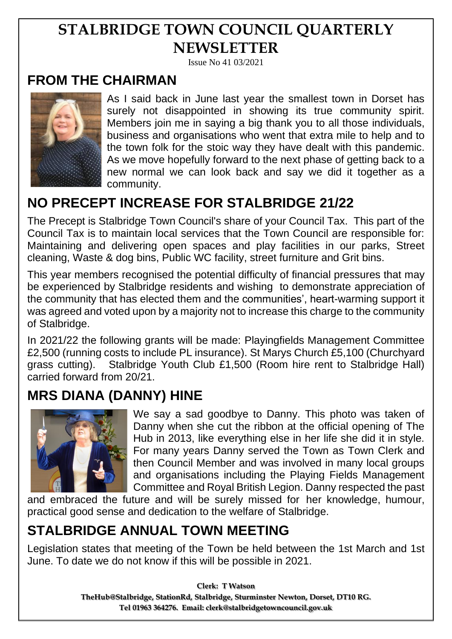# **STALBRIDGE TOWN COUNCIL QUARTERLY NEWSLETTER**

Issue No 41 03/2021

#### **FROM THE CHAIRMAN**



As I said back in June last year the smallest town in Dorset has surely not disappointed in showing its true community spirit. Members join me in saying a big thank you to all those individuals, business and organisations who went that extra mile to help and to the town folk for the stoic way they have dealt with this pandemic. As we move hopefully forward to the next phase of getting back to a new normal we can look back and say we did it together as a community.

## **NO PRECEPT INCREASE FOR STALBRIDGE 21/22**

The Precept is Stalbridge Town Council's share of your Council Tax. This part of the Council Tax is to maintain local services that the Town Council are responsible for: Maintaining and delivering open spaces and play facilities in our parks, Street cleaning, Waste & dog bins, Public WC facility, street furniture and Grit bins.

This year members recognised the potential difficulty of financial pressures that may be experienced by Stalbridge residents and wishing to demonstrate appreciation of the community that has elected them and the communities', heart-warming support it was agreed and voted upon by a majority not to increase this charge to the community of Stalbridge.

In 2021/22 the following grants will be made: Playingfields Management Committee £2,500 (running costs to include PL insurance). St Marys Church £5,100 (Churchyard grass cutting). Stalbridge Youth Club £1,500 (Room hire rent to Stalbridge Hall) carried forward from 20/21.

### **MRS DIANA (DANNY) HINE**



We say a sad goodbye to Danny. This photo was taken of Danny when she cut the ribbon at the official opening of The Hub in 2013, like everything else in her life she did it in style. For many years Danny served the Town as Town Clerk and then Council Member and was involved in many local groups and organisations including the Playing Fields Management Committee and Royal British Legion. Danny respected the past

and embraced the future and will be surely missed for her knowledge, humour, practical good sense and dedication to the welfare of Stalbridge.

## **STALBRIDGE ANNUAL TOWN MEETING**

Legislation states that meeting of the Town be held between the 1st March and 1st June. To date we do not know if this will be possible in 2021.

> **Clerk: T Watson TheHub@Stalbridge, StationRd, Stalbridge, Sturminster Newton, Dorset, DT10 RG. Tel 01963 364276. Email: clerk@stalbridgetowncouncil.gov.uk**